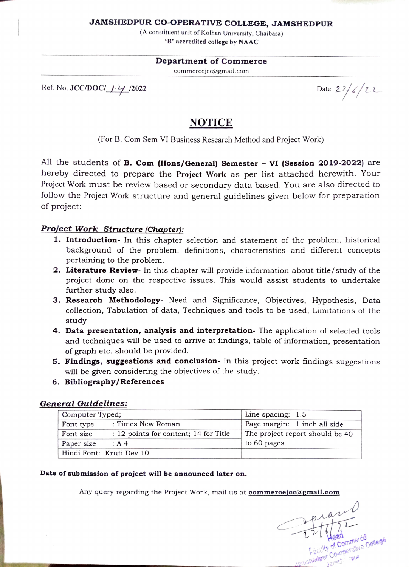#### JAMSHEDPUR Co-OPERATIVE COLLEGE, JAMSHEDPUR

(A constituent unit of Kolhan University, Chaibasa) B' accredited college by NAAC

#### Department of Commerce

commercejcc@gmail.com

Ref. No. JCC/DOCI\_ $\frac{y}{2}$  /2022

### NOTICE

(For B. Com Sem VI Business Research Method and Project Work)

All the students of **B. Com (Hons/General) Semester - VI (Session 2019-2022)** are hereby directed to prepare the Project Work as per list attached herewith. Your Project Work must be review based or secondary data based. You are also directed to follow the Project Work structure and general guidelines given below for preparation of project:

#### Project Work Structure (Chapter):

- 1. Introduction- In this chapter selection and statement of the problem, historical background of the problem, definitions, characteristics and different concepts pertaining to the problem.
- 2. Literature Review- In this chapter will provide information about title/study of the project done on the respective issues. This would assist students to undertake further study also.
- **3. Research Methodology-** Need and Significance, Objectives, Hypothesis, Data collection, Tabulation of data, Techniques and tools to be used, Limitations of the study
- 4. Data presentation, analysis and interpretation- The application of selected tools and techniques will be used to arrive at findings, table of information, presentation of graph etc. should be provided.
- 5. Findings, suggestions and conclusion- In this project work findings suggestions will be given considering the objectives of the study.
- 6. Bibliography/References

#### General Guidelines:

| Computer Typed; |                                       | Line spacing: 1.5               |
|-----------------|---------------------------------------|---------------------------------|
| Font type       | : Times New Roman                     | Page margin: 1 inch all side    |
| Font size       | : 12 points for content; 14 for Title | The project report should be 40 |
| Paper size      | :A4                                   | to 60 pages                     |
|                 | Hindi Font: Kruti Dev 10              |                                 |

#### Date of submission of project will be announced later on.

Any query regarding the Project Work, mail us at commercejcc@gmail.com

 $arct$ L L Head shede lamsheepur Co Heav<sub>mmerce</sub>